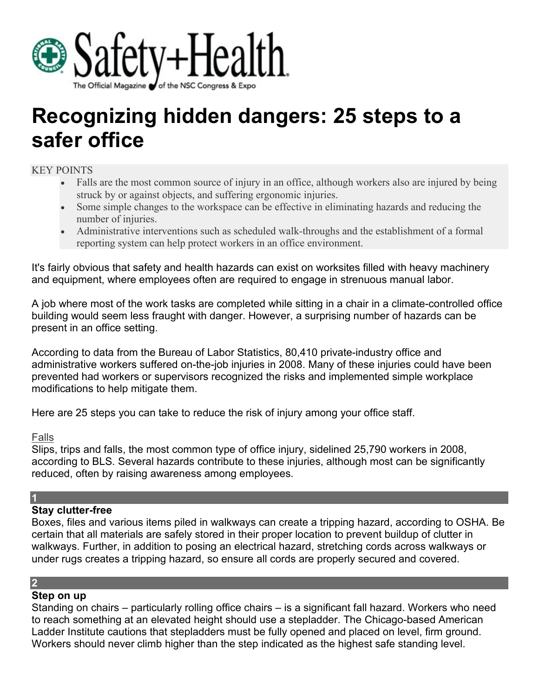

# **Recognizing hidden dangers: 25 steps to a safer office**

## KEY POINTS

- Falls are the most common source of injury in an office, although workers also are injured by being struck by or against objects, and suffering ergonomic injuries.
- Some simple changes to the workspace can be effective in eliminating hazards and reducing the number of injuries.
- Administrative interventions such as scheduled walk-throughs and the establishment of a formal reporting system can help protect workers in an office environment.

It's fairly obvious that safety and health hazards can exist on worksites filled with heavy machinery and equipment, where employees often are required to engage in strenuous manual labor.

A job where most of the work tasks are completed while sitting in a chair in a climate-controlled office building would seem less fraught with danger. However, a surprising number of hazards can be present in an office setting.

According to data from the Bureau of Labor Statistics, 80,410 private-industry office and administrative workers suffered on-the-job injuries in 2008. Many of these injuries could have been prevented had workers or supervisors recognized the risks and implemented simple workplace modifications to help mitigate them.

Here are 25 steps you can take to reduce the risk of injury among your office staff.

## Falls

Slips, trips and falls, the most common type of office injury, sidelined 25,790 workers in 2008, according to BLS. Several hazards contribute to these injuries, although most can be significantly reduced, often by raising awareness among employees.

## **1**

## **Stay clutter-free**

Boxes, files and various items piled in walkways can create a tripping hazard, according to OSHA. Be certain that all materials are safely stored in their proper location to prevent buildup of clutter in walkways. Further, in addition to posing an electrical hazard, stretching cords across walkways or under rugs creates a tripping hazard, so ensure all cords are properly secured and covered.

## **2**

## **Step on up**

Standing on chairs – particularly rolling office chairs – is a significant fall hazard. Workers who need to reach something at an elevated height should use a stepladder. The Chicago-based American Ladder Institute cautions that stepladders must be fully opened and placed on level, firm ground. Workers should never climb higher than the step indicated as the highest safe standing level.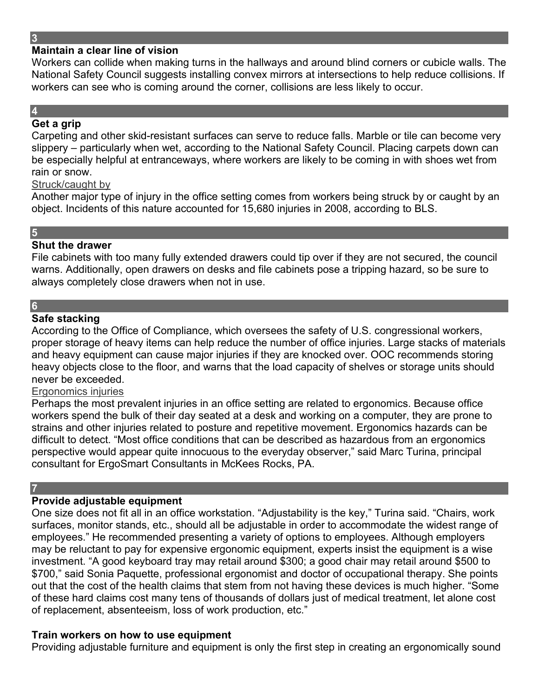## **Maintain a clear line of vision**

Workers can collide when making turns in the hallways and around blind corners or cubicle walls. The National Safety Council suggests installing convex mirrors at intersections to help reduce collisions. If workers can see who is coming around the corner, collisions are less likely to occur.

# **4**

## **Get a grip**

Carpeting and other skid-resistant surfaces can serve to reduce falls. Marble or tile can become very slippery – particularly when wet, according to the National Safety Council. Placing carpets down can be especially helpful at entranceways, where workers are likely to be coming in with shoes wet from rain or snow.

#### Struck/caught by

Another major type of injury in the office setting comes from workers being struck by or caught by an object. Incidents of this nature accounted for 15,680 injuries in 2008, according to BLS.

# **5**

## **Shut the drawer**

File cabinets with too many fully extended drawers could tip over if they are not secured, the council warns. Additionally, open drawers on desks and file cabinets pose a tripping hazard, so be sure to always completely close drawers when not in use.

# **6**

## **Safe stacking**

According to the Office of Compliance, which oversees the safety of U.S. congressional workers, proper storage of heavy items can help reduce the number of office injuries. Large stacks of materials and heavy equipment can cause major injuries if they are knocked over. OOC recommends storing heavy objects close to the floor, and warns that the load capacity of shelves or storage units should never be exceeded.

#### Ergonomics injuries

Perhaps the most prevalent injuries in an office setting are related to ergonomics. Because office workers spend the bulk of their day seated at a desk and working on a computer, they are prone to strains and other injuries related to posture and repetitive movement. Ergonomics hazards can be difficult to detect. "Most office conditions that can be described as hazardous from an ergonomics perspective would appear quite innocuous to the everyday observer," said Marc Turina, principal consultant for ErgoSmart Consultants in McKees Rocks, PA.

#### **7**

## **Provide adjustable equipment**

One size does not fit all in an office workstation. "Adjustability is the key," Turina said. "Chairs, work surfaces, monitor stands, etc., should all be adjustable in order to accommodate the widest range of employees." He recommended presenting a variety of options to employees. Although employers may be reluctant to pay for expensive ergonomic equipment, experts insist the equipment is a wise investment. "A good keyboard tray may retail around \$300; a good chair may retail around \$500 to \$700," said Sonia Paquette, professional ergonomist and doctor of occupational therapy. She points out that the cost of the health claims that stem from not having these devices is much higher. "Some of these hard claims cost many tens of thousands of dollars just of medical treatment, let alone cost of replacement, absenteeism, loss of work production, etc." **8**

## **Train workers on how to use equipment**

Providing adjustable furniture and equipment is only the first step in creating an ergonomically sound

#### **3**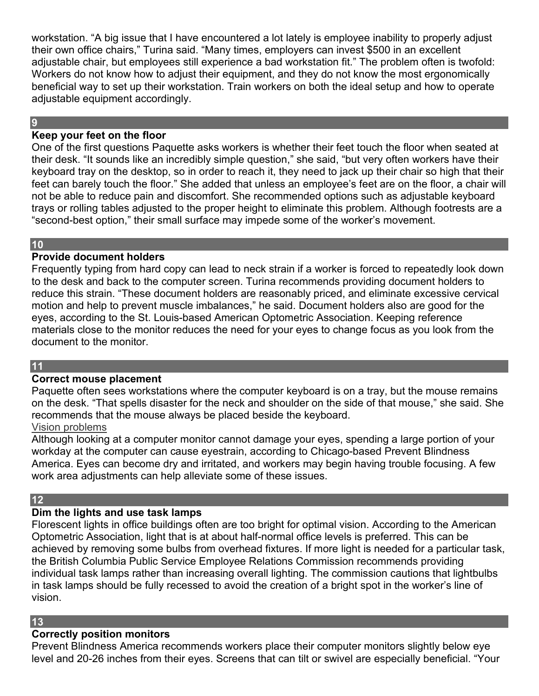workstation. "A big issue that I have encountered a lot lately is employee inability to properly adjust their own office chairs," Turina said. "Many times, employers can invest \$500 in an excellent adjustable chair, but employees still experience a bad workstation fit." The problem often is twofold: Workers do not know how to adjust their equipment, and they do not know the most ergonomically beneficial way to set up their workstation. Train workers on both the ideal setup and how to operate adjustable equipment accordingly.

#### **9**

## **Keep your feet on the floor**

One of the first questions Paquette asks workers is whether their feet touch the floor when seated at their desk. "It sounds like an incredibly simple question," she said, "but very often workers have their keyboard tray on the desktop, so in order to reach it, they need to jack up their chair so high that their feet can barely touch the floor." She added that unless an employee's feet are on the floor, a chair will not be able to reduce pain and discomfort. She recommended options such as adjustable keyboard trays or rolling tables adjusted to the proper height to eliminate this problem. Although footrests are a "second-best option," their small surface may impede some of the worker's movement.

#### **10**

## **Provide document holders**

Frequently typing from hard copy can lead to neck strain if a worker is forced to repeatedly look down to the desk and back to the computer screen. Turina recommends providing document holders to reduce this strain. "These document holders are reasonably priced, and eliminate excessive cervical motion and help to prevent muscle imbalances," he said. Document holders also are good for the eyes, according to the St. Louis-based American Optometric Association. Keeping reference materials close to the monitor reduces the need for your eyes to change focus as you look from the document to the monitor.

#### **11**

## **Correct mouse placement**

Paquette often sees workstations where the computer keyboard is on a tray, but the mouse remains on the desk. "That spells disaster for the neck and shoulder on the side of that mouse," she said. She recommends that the mouse always be placed beside the keyboard.

## Vision problems

Although looking at a computer monitor cannot damage your eyes, spending a large portion of your workday at the computer can cause eyestrain, according to Chicago-based Prevent Blindness America. Eyes can become dry and irritated, and workers may begin having trouble focusing. A few work area adjustments can help alleviate some of these issues.

## **12**

## **Dim the lights and use task lamps**

Florescent lights in office buildings often are too bright for optimal vision. According to the American Optometric Association, light that is at about half-normal office levels is preferred. This can be achieved by removing some bulbs from overhead fixtures. If more light is needed for a particular task, the British Columbia Public Service Employee Relations Commission recommends providing individual task lamps rather than increasing overall lighting. The commission cautions that lightbulbs in task lamps should be fully recessed to avoid the creation of a bright spot in the worker's line of vision.

#### **13**

## **Correctly position monitors**

Prevent Blindness America recommends workers place their computer monitors slightly below eye level and 20-26 inches from their eyes. Screens that can tilt or swivel are especially beneficial. "Your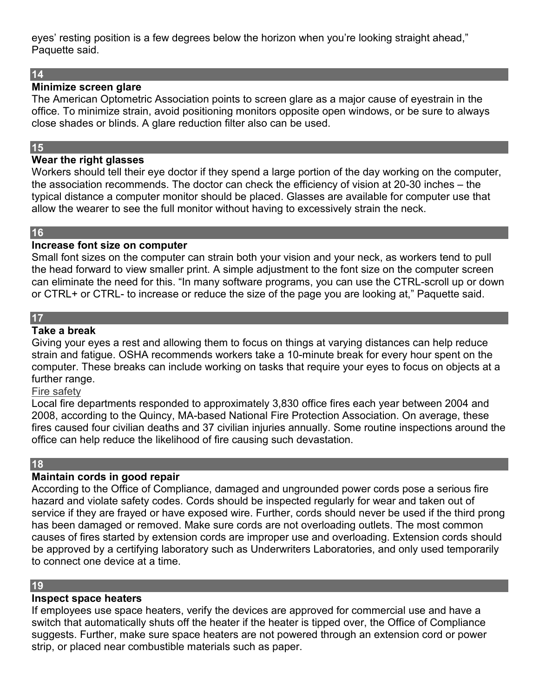eyes' resting position is a few degrees below the horizon when you're looking straight ahead," Paquette said.

#### **14**

#### **Minimize screen glare**

The American Optometric Association points to screen glare as a major cause of eyestrain in the office. To minimize strain, avoid positioning monitors opposite open windows, or be sure to always close shades or blinds. A glare reduction filter also can be used.

## **15**

## **Wear the right glasses**

Workers should tell their eye doctor if they spend a large portion of the day working on the computer, the association recommends. The doctor can check the efficiency of vision at 20-30 inches – the typical distance a computer monitor should be placed. Glasses are available for computer use that allow the wearer to see the full monitor without having to excessively strain the neck.

# **16**

#### **Increase font size on computer**

Small font sizes on the computer can strain both your vision and your neck, as workers tend to pull the head forward to view smaller print. A simple adjustment to the font size on the computer screen can eliminate the need for this. "In many software programs, you can use the CTRL-scroll up or down or CTRL+ or CTRL- to increase or reduce the size of the page you are looking at," Paquette said.

## **17**

#### **Take a break**

Giving your eyes a rest and allowing them to focus on things at varying distances can help reduce strain and fatigue. OSHA recommends workers take a 10-minute break for every hour spent on the computer. These breaks can include working on tasks that require your eyes to focus on objects at a further range.

#### Fire safety

Local fire departments responded to approximately 3,830 office fires each year between 2004 and 2008, according to the Quincy, MA-based National Fire Protection Association. On average, these fires caused four civilian deaths and 37 civilian injuries annually. Some routine inspections around the office can help reduce the likelihood of fire causing such devastation.

## **18**

## **Maintain cords in good repair**

According to the Office of Compliance, damaged and ungrounded power cords pose a serious fire hazard and violate safety codes. Cords should be inspected regularly for wear and taken out of service if they are frayed or have exposed wire. Further, cords should never be used if the third prong has been damaged or removed. Make sure cords are not overloading outlets. The most common causes of fires started by extension cords are improper use and overloading. Extension cords should be approved by a certifying laboratory such as Underwriters Laboratories, and only used temporarily to connect one device at a time.

#### **19**

## **Inspect space heaters**

If employees use space heaters, verify the devices are approved for commercial use and have a switch that automatically shuts off the heater if the heater is tipped over, the Office of Compliance suggests. Further, make sure space heaters are not powered through an extension cord or power strip, or placed near combustible materials such as paper.